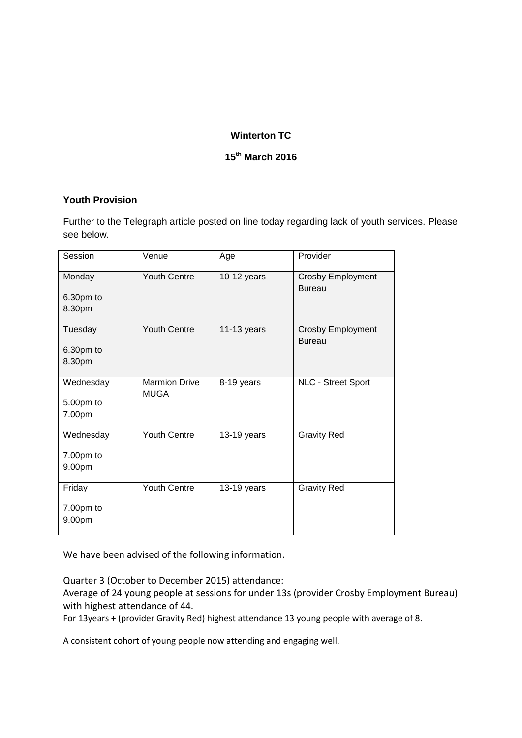## **Winterton TC**

# **15th March 2016**

#### **Youth Provision**

Further to the Telegraph article posted on line today regarding lack of youth services. Please see below.

| Session                          | Venue                               | Age           | Provider                                  |
|----------------------------------|-------------------------------------|---------------|-------------------------------------------|
| Monday<br>6.30pm to<br>8.30pm    | Youth Centre                        | 10-12 years   | <b>Crosby Employment</b><br><b>Bureau</b> |
| Tuesday<br>6.30pm to<br>8.30pm   | <b>Youth Centre</b>                 | $11-13$ years | <b>Crosby Employment</b><br><b>Bureau</b> |
| Wednesday<br>5.00pm to<br>7.00pm | <b>Marmion Drive</b><br><b>MUGA</b> | 8-19 years    | <b>NLC - Street Sport</b>                 |
| Wednesday<br>7.00pm to<br>9.00pm | Youth Centre                        | 13-19 years   | <b>Gravity Red</b>                        |
| Friday<br>7.00pm to<br>9.00pm    | Youth Centre                        | 13-19 years   | <b>Gravity Red</b>                        |

We have been advised of the following information.

Quarter 3 (October to December 2015) attendance:

Average of 24 young people at sessions for under 13s (provider Crosby Employment Bureau) with highest attendance of 44.

For 13years + (provider Gravity Red) highest attendance 13 young people with average of 8.

A consistent cohort of young people now attending and engaging well.